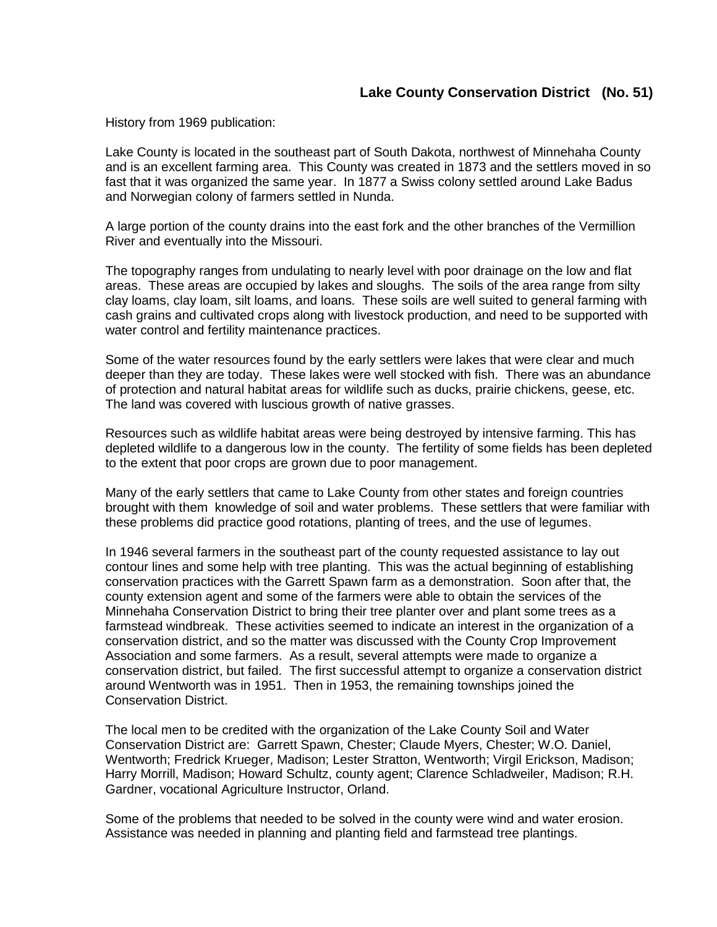History from 1969 publication:

Lake County is located in the southeast part of South Dakota, northwest of Minnehaha County and is an excellent farming area. This County was created in 1873 and the settlers moved in so fast that it was organized the same year. In 1877 a Swiss colony settled around Lake Badus and Norwegian colony of farmers settled in Nunda.

A large portion of the county drains into the east fork and the other branches of the Vermillion River and eventually into the Missouri.

The topography ranges from undulating to nearly level with poor drainage on the low and flat areas. These areas are occupied by lakes and sloughs. The soils of the area range from silty clay loams, clay loam, silt loams, and loans. These soils are well suited to general farming with cash grains and cultivated crops along with livestock production, and need to be supported with water control and fertility maintenance practices.

Some of the water resources found by the early settlers were lakes that were clear and much deeper than they are today. These lakes were well stocked with fish. There was an abundance of protection and natural habitat areas for wildlife such as ducks, prairie chickens, geese, etc. The land was covered with luscious growth of native grasses.

Resources such as wildlife habitat areas were being destroyed by intensive farming. This has depleted wildlife to a dangerous low in the county. The fertility of some fields has been depleted to the extent that poor crops are grown due to poor management.

Many of the early settlers that came to Lake County from other states and foreign countries brought with them knowledge of soil and water problems. These settlers that were familiar with these problems did practice good rotations, planting of trees, and the use of legumes.

In 1946 several farmers in the southeast part of the county requested assistance to lay out contour lines and some help with tree planting. This was the actual beginning of establishing conservation practices with the Garrett Spawn farm as a demonstration. Soon after that, the county extension agent and some of the farmers were able to obtain the services of the Minnehaha Conservation District to bring their tree planter over and plant some trees as a farmstead windbreak. These activities seemed to indicate an interest in the organization of a conservation district, and so the matter was discussed with the County Crop Improvement Association and some farmers. As a result, several attempts were made to organize a conservation district, but failed. The first successful attempt to organize a conservation district around Wentworth was in 1951. Then in 1953, the remaining townships joined the Conservation District.

The local men to be credited with the organization of the Lake County Soil and Water Conservation District are: Garrett Spawn, Chester; Claude Myers, Chester; W.O. Daniel, Wentworth; Fredrick Krueger, Madison; Lester Stratton, Wentworth; Virgil Erickson, Madison; Harry Morrill, Madison; Howard Schultz, county agent; Clarence Schladweiler, Madison; R.H. Gardner, vocational Agriculture Instructor, Orland.

Some of the problems that needed to be solved in the county were wind and water erosion. Assistance was needed in planning and planting field and farmstead tree plantings.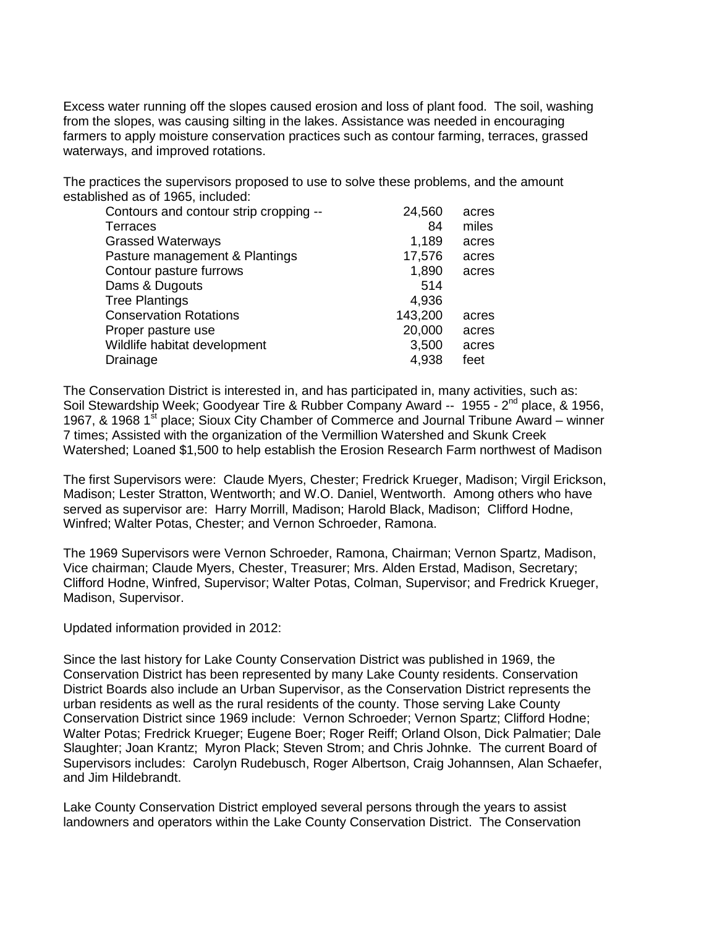Excess water running off the slopes caused erosion and loss of plant food. The soil, washing from the slopes, was causing silting in the lakes. Assistance was needed in encouraging farmers to apply moisture conservation practices such as contour farming, terraces, grassed waterways, and improved rotations.

The practices the supervisors proposed to use to solve these problems, and the amount established as of 1965, included:

| Contours and contour strip cropping -- | 24,560  | acres |
|----------------------------------------|---------|-------|
| Terraces                               | 84      | miles |
| <b>Grassed Waterways</b>               | 1,189   | acres |
| Pasture management & Plantings         | 17,576  | acres |
| Contour pasture furrows                | 1,890   | acres |
| Dams & Dugouts                         | 514     |       |
| <b>Tree Plantings</b>                  | 4,936   |       |
| <b>Conservation Rotations</b>          | 143,200 | acres |
| Proper pasture use                     | 20,000  | acres |
| Wildlife habitat development           | 3,500   | acres |
| Drainage                               | 4,938   | feet  |

The Conservation District is interested in, and has participated in, many activities, such as: Soil Stewardship Week; Goodyear Tire & Rubber Company Award -- 1955 - 2<sup>nd</sup> place, & 1956, 1967, & 1968 1<sup>st</sup> place; Sioux City Chamber of Commerce and Journal Tribune Award – winner 7 times; Assisted with the organization of the Vermillion Watershed and Skunk Creek Watershed; Loaned \$1,500 to help establish the Erosion Research Farm northwest of Madison

The first Supervisors were: Claude Myers, Chester; Fredrick Krueger, Madison; Virgil Erickson, Madison; Lester Stratton, Wentworth; and W.O. Daniel, Wentworth. Among others who have served as supervisor are: Harry Morrill, Madison; Harold Black, Madison; Clifford Hodne, Winfred; Walter Potas, Chester; and Vernon Schroeder, Ramona.

The 1969 Supervisors were Vernon Schroeder, Ramona, Chairman; Vernon Spartz, Madison, Vice chairman; Claude Myers, Chester, Treasurer; Mrs. Alden Erstad, Madison, Secretary; Clifford Hodne, Winfred, Supervisor; Walter Potas, Colman, Supervisor; and Fredrick Krueger, Madison, Supervisor.

Updated information provided in 2012:

Since the last history for Lake County Conservation District was published in 1969, the Conservation District has been represented by many Lake County residents. Conservation District Boards also include an Urban Supervisor, as the Conservation District represents the urban residents as well as the rural residents of the county. Those serving Lake County Conservation District since 1969 include: Vernon Schroeder; Vernon Spartz; Clifford Hodne; Walter Potas; Fredrick Krueger; Eugene Boer; Roger Reiff; Orland Olson, Dick Palmatier; Dale Slaughter; Joan Krantz; Myron Plack; Steven Strom; and Chris Johnke. The current Board of Supervisors includes: Carolyn Rudebusch, Roger Albertson, Craig Johannsen, Alan Schaefer, and Jim Hildebrandt.

Lake County Conservation District employed several persons through the years to assist landowners and operators within the Lake County Conservation District. The Conservation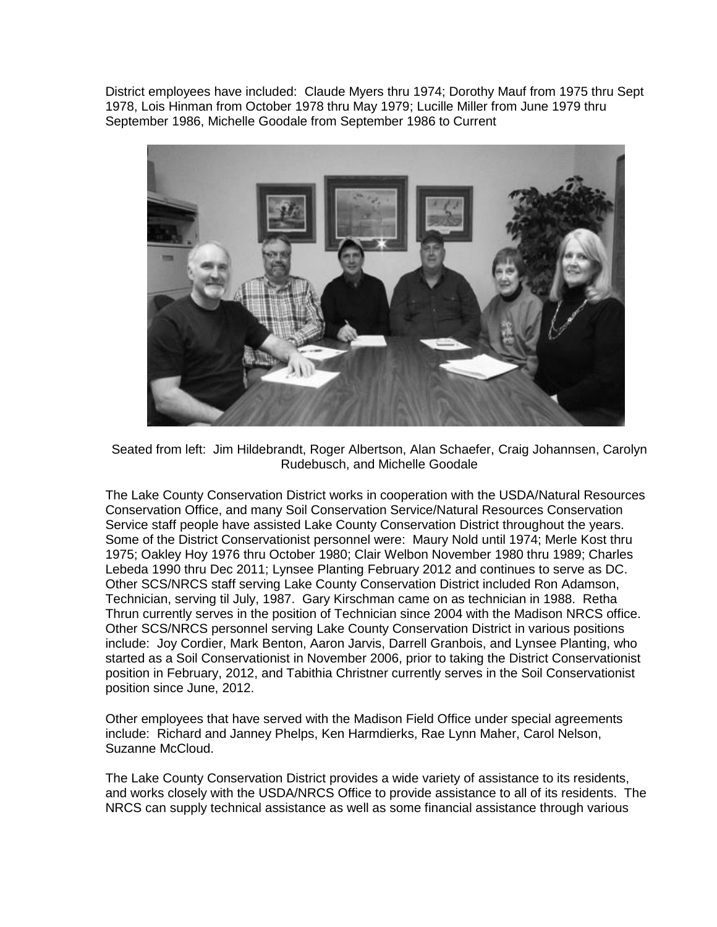District employees have included: Claude Myers thru 1974; Dorothy Mauf from 1975 thru Sept 1978, Lois Hinman from October 1978 thru May 1979; Lucille Miller from June 1979 thru September 1986, Michelle Goodale from September 1986 to Current



Seated from left: Jim Hildebrandt, Roger Albertson, Alan Schaefer, Craig Johannsen, Carolyn Rudebusch, and Michelle Goodale

The Lake County Conservation District works in cooperation with the USDA/Natural Resources Conservation Office, and many Soil Conservation Service/Natural Resources Conservation Service staff people have assisted Lake County Conservation District throughout the years. Some of the District Conservationist personnel were: Maury Nold until 1974; Merle Kost thru 1975; Oakley Hoy 1976 thru October 1980; Clair Welbon November 1980 thru 1989; Charles Lebeda 1990 thru Dec 2011; Lynsee Planting February 2012 and continues to serve as DC. Other SCS/NRCS staff serving Lake County Conservation District included Ron Adamson, Technician, serving til July, 1987. Gary Kirschman came on as technician in 1988. Retha Thrun currently serves in the position of Technician since 2004 with the Madison NRCS office. Other SCS/NRCS personnel serving Lake County Conservation District in various positions include: Joy Cordier, Mark Benton, Aaron Jarvis, Darrell Granbois, and Lynsee Planting, who started as a Soil Conservationist in November 2006, prior to taking the District Conservationist position in February, 2012, and Tabithia Christner currently serves in the Soil Conservationist position since June, 2012.

Other employees that have served with the Madison Field Office under special agreements include: Richard and Janney Phelps, Ken Harmdierks, Rae Lynn Maher, Carol Nelson, Suzanne McCloud.

The Lake County Conservation District provides a wide variety of assistance to its residents, and works closely with the USDA/NRCS Office to provide assistance to all of its residents. The NRCS can supply technical assistance as well as some financial assistance through various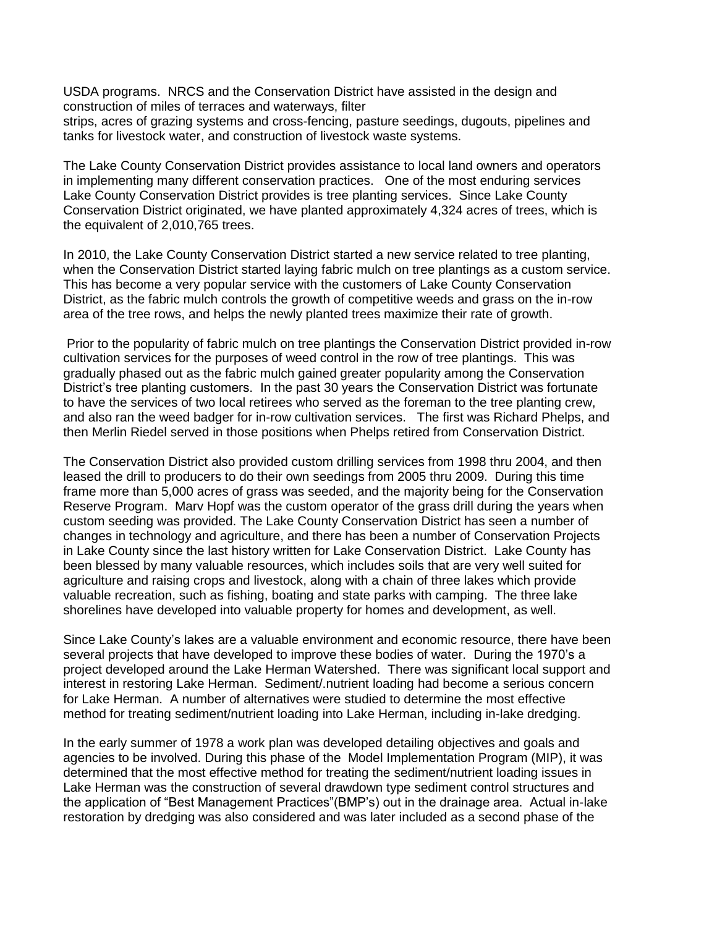USDA programs. NRCS and the Conservation District have assisted in the design and construction of miles of terraces and waterways, filter strips, acres of grazing systems and cross-fencing, pasture seedings, dugouts, pipelines and tanks for livestock water, and construction of livestock waste systems.

The Lake County Conservation District provides assistance to local land owners and operators in implementing many different conservation practices. One of the most enduring services Lake County Conservation District provides is tree planting services. Since Lake County Conservation District originated, we have planted approximately 4,324 acres of trees, which is the equivalent of 2,010,765 trees.

In 2010, the Lake County Conservation District started a new service related to tree planting, when the Conservation District started laying fabric mulch on tree plantings as a custom service. This has become a very popular service with the customers of Lake County Conservation District, as the fabric mulch controls the growth of competitive weeds and grass on the in-row area of the tree rows, and helps the newly planted trees maximize their rate of growth.

Prior to the popularity of fabric mulch on tree plantings the Conservation District provided in-row cultivation services for the purposes of weed control in the row of tree plantings. This was gradually phased out as the fabric mulch gained greater popularity among the Conservation District's tree planting customers. In the past 30 years the Conservation District was fortunate to have the services of two local retirees who served as the foreman to the tree planting crew, and also ran the weed badger for in-row cultivation services. The first was Richard Phelps, and then Merlin Riedel served in those positions when Phelps retired from Conservation District.

The Conservation District also provided custom drilling services from 1998 thru 2004, and then leased the drill to producers to do their own seedings from 2005 thru 2009. During this time frame more than 5,000 acres of grass was seeded, and the majority being for the Conservation Reserve Program. Marv Hopf was the custom operator of the grass drill during the years when custom seeding was provided. The Lake County Conservation District has seen a number of changes in technology and agriculture, and there has been a number of Conservation Projects in Lake County since the last history written for Lake Conservation District. Lake County has been blessed by many valuable resources, which includes soils that are very well suited for agriculture and raising crops and livestock, along with a chain of three lakes which provide valuable recreation, such as fishing, boating and state parks with camping. The three lake shorelines have developed into valuable property for homes and development, as well.

Since Lake County's lakes are a valuable environment and economic resource, there have been several projects that have developed to improve these bodies of water. During the 1970's a project developed around the Lake Herman Watershed. There was significant local support and interest in restoring Lake Herman. Sediment/.nutrient loading had become a serious concern for Lake Herman. A number of alternatives were studied to determine the most effective method for treating sediment/nutrient loading into Lake Herman, including in-lake dredging.

In the early summer of 1978 a work plan was developed detailing objectives and goals and agencies to be involved. During this phase of the Model Implementation Program (MIP), it was determined that the most effective method for treating the sediment/nutrient loading issues in Lake Herman was the construction of several drawdown type sediment control structures and the application of "Best Management Practices"(BMP's) out in the drainage area. Actual in-lake restoration by dredging was also considered and was later included as a second phase of the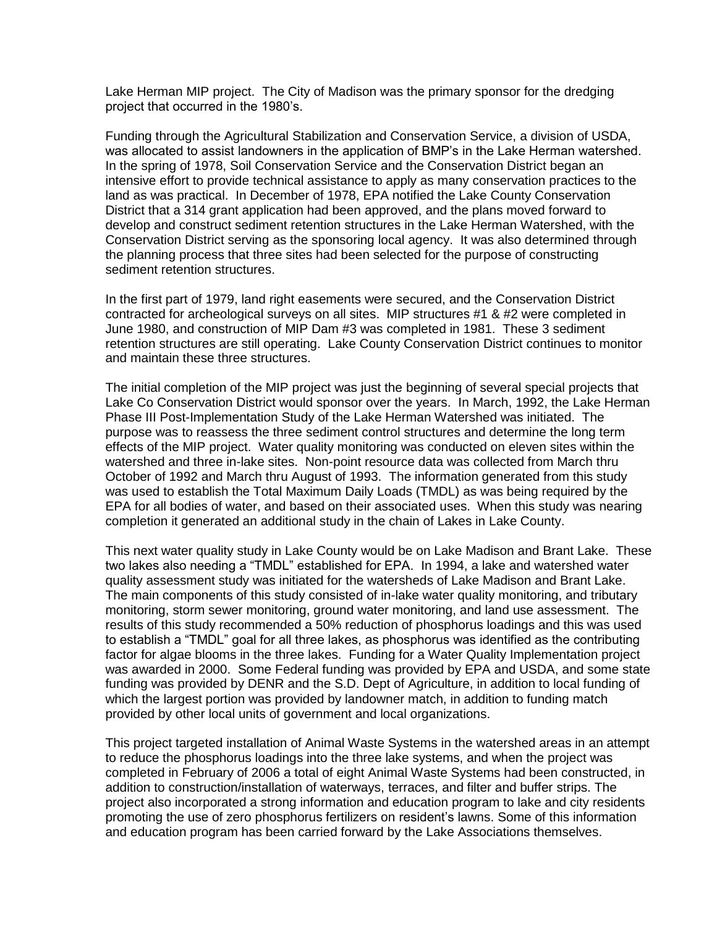Lake Herman MIP project. The City of Madison was the primary sponsor for the dredging project that occurred in the 1980's.

Funding through the Agricultural Stabilization and Conservation Service, a division of USDA, was allocated to assist landowners in the application of BMP's in the Lake Herman watershed. In the spring of 1978, Soil Conservation Service and the Conservation District began an intensive effort to provide technical assistance to apply as many conservation practices to the land as was practical. In December of 1978, EPA notified the Lake County Conservation District that a 314 grant application had been approved, and the plans moved forward to develop and construct sediment retention structures in the Lake Herman Watershed, with the Conservation District serving as the sponsoring local agency. It was also determined through the planning process that three sites had been selected for the purpose of constructing sediment retention structures.

In the first part of 1979, land right easements were secured, and the Conservation District contracted for archeological surveys on all sites. MIP structures #1 & #2 were completed in June 1980, and construction of MIP Dam #3 was completed in 1981. These 3 sediment retention structures are still operating. Lake County Conservation District continues to monitor and maintain these three structures.

The initial completion of the MIP project was just the beginning of several special projects that Lake Co Conservation District would sponsor over the years. In March, 1992, the Lake Herman Phase III Post-Implementation Study of the Lake Herman Watershed was initiated. The purpose was to reassess the three sediment control structures and determine the long term effects of the MIP project. Water quality monitoring was conducted on eleven sites within the watershed and three in-lake sites. Non-point resource data was collected from March thru October of 1992 and March thru August of 1993. The information generated from this study was used to establish the Total Maximum Daily Loads (TMDL) as was being required by the EPA for all bodies of water, and based on their associated uses. When this study was nearing completion it generated an additional study in the chain of Lakes in Lake County.

This next water quality study in Lake County would be on Lake Madison and Brant Lake. These two lakes also needing a "TMDL" established for EPA. In 1994, a lake and watershed water quality assessment study was initiated for the watersheds of Lake Madison and Brant Lake. The main components of this study consisted of in-lake water quality monitoring, and tributary monitoring, storm sewer monitoring, ground water monitoring, and land use assessment. The results of this study recommended a 50% reduction of phosphorus loadings and this was used to establish a "TMDL" goal for all three lakes, as phosphorus was identified as the contributing factor for algae blooms in the three lakes. Funding for a Water Quality Implementation project was awarded in 2000. Some Federal funding was provided by EPA and USDA, and some state funding was provided by DENR and the S.D. Dept of Agriculture, in addition to local funding of which the largest portion was provided by landowner match, in addition to funding match provided by other local units of government and local organizations.

This project targeted installation of Animal Waste Systems in the watershed areas in an attempt to reduce the phosphorus loadings into the three lake systems, and when the project was completed in February of 2006 a total of eight Animal Waste Systems had been constructed, in addition to construction/installation of waterways, terraces, and filter and buffer strips. The project also incorporated a strong information and education program to lake and city residents promoting the use of zero phosphorus fertilizers on resident's lawns. Some of this information and education program has been carried forward by the Lake Associations themselves.